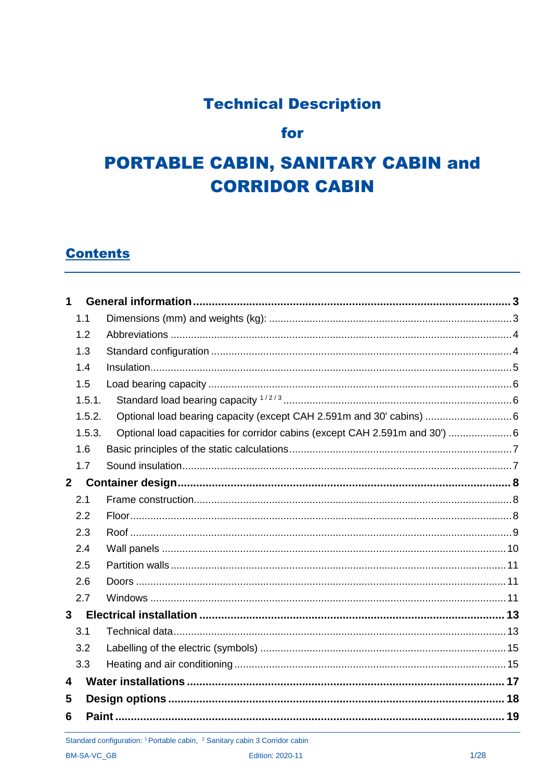### **Technical Description**

### for

## **PORTABLE CABIN, SANITARY CABIN and CORRIDOR CABIN**

### **Contents**

| 1              |        |                                                                             |  |
|----------------|--------|-----------------------------------------------------------------------------|--|
|                | 1.1    |                                                                             |  |
|                | 1.2    |                                                                             |  |
|                | 1.3    |                                                                             |  |
|                | 1.4    |                                                                             |  |
|                | 1.5    |                                                                             |  |
|                | 1.5.1. |                                                                             |  |
|                | 1.5.2. | Optional load bearing capacity (except CAH 2.591m and 30' cabins)  6        |  |
|                | 1.5.3. | Optional load capacities for corridor cabins (except CAH 2.591m and 30')  6 |  |
|                | 1.6    |                                                                             |  |
|                | 1.7    |                                                                             |  |
| 2 <sup>1</sup> |        |                                                                             |  |
|                | 2.1    |                                                                             |  |
|                | 2.2    |                                                                             |  |
|                | 2.3    |                                                                             |  |
|                | 2.4    |                                                                             |  |
|                | 2.5    |                                                                             |  |
|                | 2.6    |                                                                             |  |
|                | 2.7    |                                                                             |  |
| $\mathbf{3}$   |        |                                                                             |  |
|                | 3.1    |                                                                             |  |
|                | 3.2    |                                                                             |  |
|                | 3.3    |                                                                             |  |
| 4              |        |                                                                             |  |
| 5              |        |                                                                             |  |
| 6              |        |                                                                             |  |

Standard configuration: <sup>1</sup> Portable cabin, <sup>2</sup> Sanitary cabin 3 Corridor cabin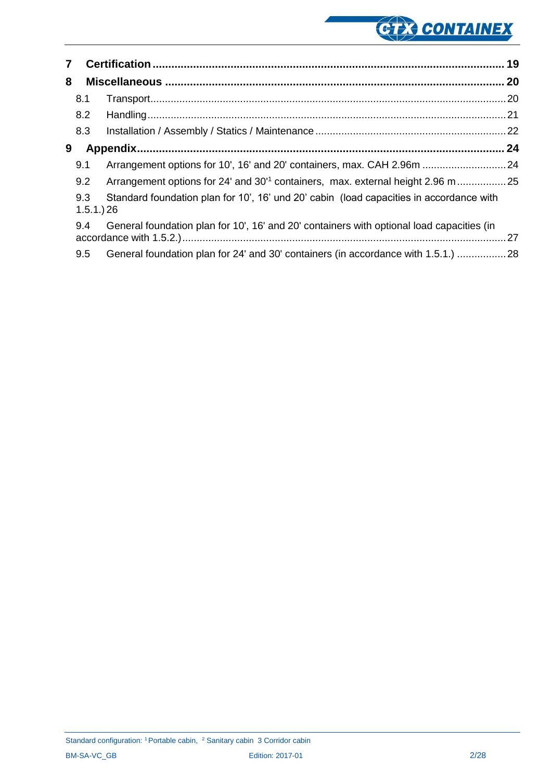# GER CONTAINEX

| $\overline{7}$ |     |                                                                                                          |  |
|----------------|-----|----------------------------------------------------------------------------------------------------------|--|
| 8              |     |                                                                                                          |  |
|                | 8.1 |                                                                                                          |  |
|                | 8.2 |                                                                                                          |  |
|                | 8.3 |                                                                                                          |  |
| 9              |     |                                                                                                          |  |
|                | 9.1 | Arrangement options for 10', 16' and 20' containers, max. CAH 2.96m  24                                  |  |
|                | 9.2 | Arrangement options for 24' and 30' <sup>1</sup> containers, max. external height 2.96 m25               |  |
|                | 9.3 | Standard foundation plan for 10', 16' und 20' cabin (load capacities in accordance with<br>$1.5.1.$ ) 26 |  |
|                | 9.4 | General foundation plan for 10', 16' and 20' containers with optional load capacities (in                |  |
|                | 9.5 | General foundation plan for 24' and 30' containers (in accordance with 1.5.1.) 28                        |  |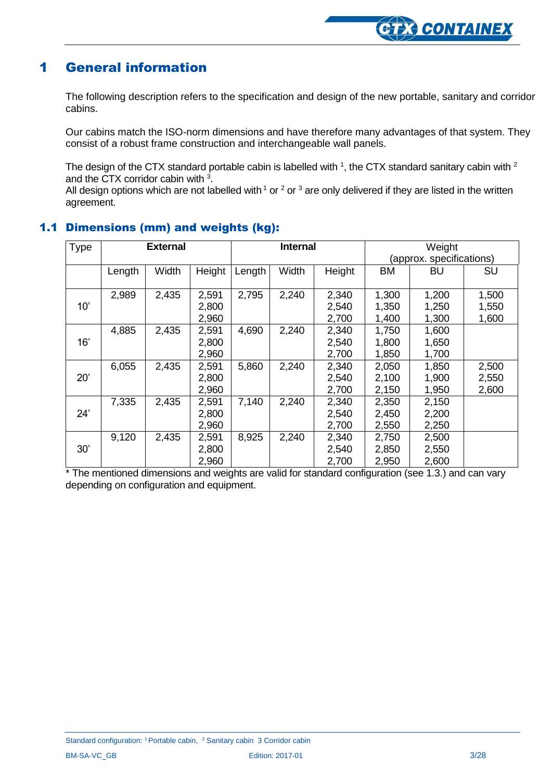### <span id="page-2-0"></span>1 General information

The following description refers to the specification and design of the new portable, sanitary and corridor cabins.

Our cabins match the ISO-norm dimensions and have therefore many advantages of that system. They consist of a robust frame construction and interchangeable wall panels.

The design of the CTX standard portable cabin is labelled with  $1$ , the CTX standard sanitary cabin with  $2$ and the CTX corridor cabin with <sup>3</sup>.

<span id="page-2-1"></span>All design options which are not labelled with  $1$  or  $2$  or  $3$  are only delivered if they are listed in the written agreement.

| Type | <b>External</b> |       | <b>Internal</b> |        | Weight                      |        |           |       |           |
|------|-----------------|-------|-----------------|--------|-----------------------------|--------|-----------|-------|-----------|
|      |                 |       |                 |        | specifications)<br>(approx. |        |           |       |           |
|      | Length          | Width | Height          | Length | Width                       | Height | <b>BM</b> | BU    | <b>SU</b> |
|      |                 |       |                 |        |                             |        |           |       |           |
|      | 2,989           | 2,435 | 2,591           | 2,795  | 2,240                       | 2,340  | 1,300     | 1,200 | 1,500     |
| 10'  |                 |       | 2,800           |        |                             | 2,540  | 1,350     | 1,250 | 1,550     |
|      |                 |       | 2,960           |        |                             | 2,700  | 1,400     | 1,300 | 1,600     |
|      | 4,885           | 2,435 | 2,591           | 4,690  | 2,240                       | 2,340  | 1,750     | 1,600 |           |
| 16'  |                 |       | 2,800           |        |                             | 2,540  | 1,800     | 1,650 |           |
|      |                 |       | 2,960           |        |                             | 2,700  | 1,850     | 1,700 |           |
|      | 6,055           | 2,435 | 2,591           | 5,860  | 2,240                       | 2,340  | 2,050     | 1,850 | 2,500     |
| 20'  |                 |       | 2,800           |        |                             | 2,540  | 2,100     | 1,900 | 2,550     |
|      |                 |       | 2,960           |        |                             | 2,700  | 2,150     | 1,950 | 2,600     |
|      | 7,335           | 2,435 | 2,591           | 7,140  | 2,240                       | 2,340  | 2,350     | 2,150 |           |
| 24'  |                 |       | 2,800           |        |                             | 2,540  | 2,450     | 2,200 |           |
|      |                 |       | 2,960           |        |                             | 2,700  | 2,550     | 2,250 |           |
|      | 9,120           | 2,435 | 2,591           | 8,925  | 2,240                       | 2,340  | 2,750     | 2,500 |           |
| 30'  |                 |       | 2,800           |        |                             | 2,540  | 2,850     | 2,550 |           |
|      |                 |       | 2,960           |        |                             | 2,700  | 2,950     | 2,600 |           |

#### 1.1 Dimensions (mm) and weights (kg):

\* The mentioned dimensions and weights are valid for standard configuration (see 1.3.) and can vary depending on configuration and equipment.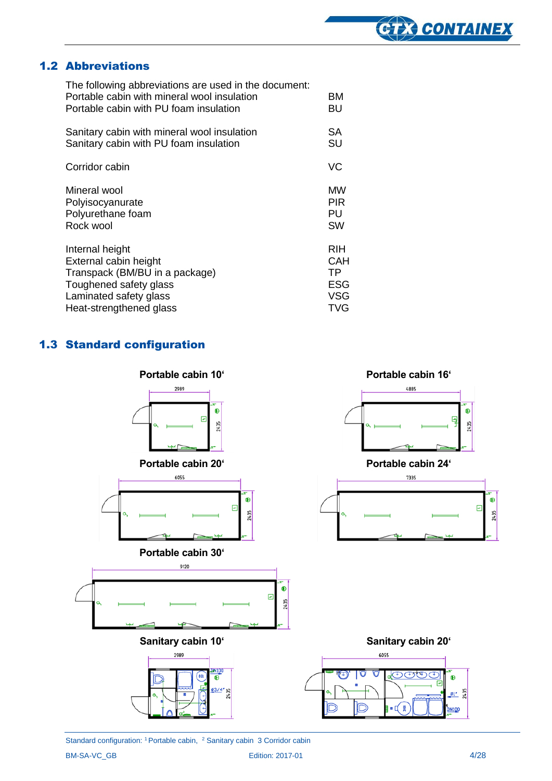#### 1.2 Abbreviations

<span id="page-3-0"></span>

| The following abbreviations are used in the document:<br>Portable cabin with mineral wool insulation<br>Portable cabin with PU foam insulation | вM<br>BU   |
|------------------------------------------------------------------------------------------------------------------------------------------------|------------|
| Sanitary cabin with mineral wool insulation                                                                                                    | <b>SA</b>  |
| Sanitary cabin with PU foam insulation                                                                                                         | <b>SU</b>  |
| Corridor cabin                                                                                                                                 | VC         |
| Mineral wool                                                                                                                                   | МW         |
| Polyisocyanurate                                                                                                                               | <b>PIR</b> |
| Polyurethane foam                                                                                                                              | PU         |
| Rock wool                                                                                                                                      | <b>SW</b>  |
| Internal height                                                                                                                                | <b>RIH</b> |
| External cabin height                                                                                                                          | CAH        |
| Transpack (BM/BU in a package)                                                                                                                 | ТP         |
| Toughened safety glass                                                                                                                         | <b>ESG</b> |
| Laminated safety glass                                                                                                                         | <b>VSG</b> |
| Heat-strengthened glass                                                                                                                        | TVG        |

### <span id="page-3-1"></span>1.3 Standard configuration



Standard configuration: <sup>1</sup> Portable cabin, <sup>2</sup> Sanitary cabin 3 Corridor cabin BM-SA-VC\_GB Edition: 2017-01 4/28

**CIEX CONTAINEX**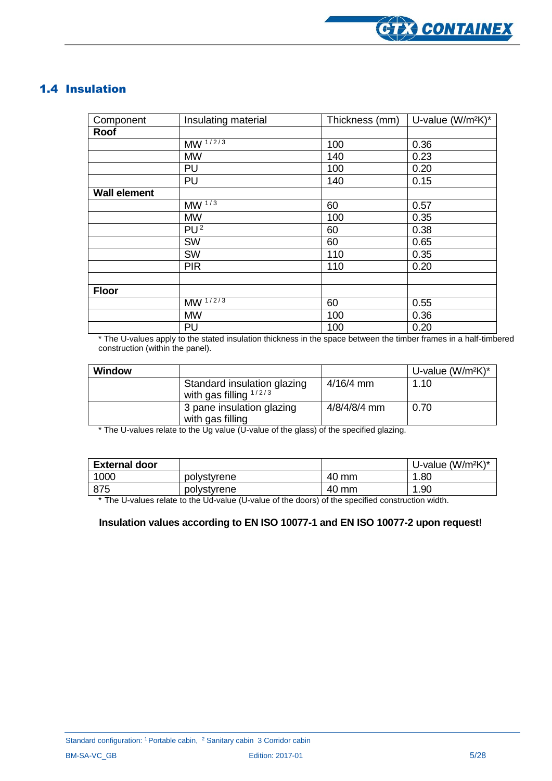

### <span id="page-4-0"></span>1.4 Insulation

| Component           | Insulating material   | Thickness (mm) | U-value (W/m <sup>2</sup> K)* |
|---------------------|-----------------------|----------------|-------------------------------|
| Roof                |                       |                |                               |
|                     | $MW^{\frac{1}{2}}$    | 100            | 0.36                          |
|                     | <b>MW</b>             | 140            | 0.23                          |
|                     | PU                    | 100            | 0.20                          |
|                     | PU                    | 140            | 0.15                          |
| <b>Wall element</b> |                       |                |                               |
|                     | $M\overline{W^{1/3}}$ | 60             | 0.57                          |
|                     | <b>MW</b>             | 100            | 0.35                          |
|                     | $PU^{\overline{2}}$   | 60             | 0.38                          |
|                     | SW                    | 60             | 0.65                          |
|                     | SW                    | 110            | 0.35                          |
|                     | <b>PIR</b>            | 110            | 0.20                          |
|                     |                       |                |                               |
| <b>Floor</b>        |                       |                |                               |
|                     | $MW^{\frac{1}{2}}$    | 60             | 0.55                          |
|                     | <b>MW</b>             | 100            | 0.36                          |
|                     | PU                    | 100            | 0.20                          |

\* The U-values apply to the stated insulation thickness in the space between the timber frames in a half-timbered construction (within the panel).

| Window |                                                         |              | U-value $(W/m^2K)^*$ |
|--------|---------------------------------------------------------|--------------|----------------------|
|        | Standard insulation glazing<br>with gas filling $1/2/3$ | $4/16/4$ mm  | 1.10                 |
|        | 3 pane insulation glazing<br>with gas filling           | 4/8/4/8/4 mm | 0.70                 |

\* The U-values relate to the Ug value (U-value of the glass) of the specified glazing.

| <b>External door</b> |             |       | U-value $(W/m^2K)^*$ |
|----------------------|-------------|-------|----------------------|
| 1000                 | polystyrene | 40 mm | 1.80                 |
| 875                  | polystyrene | 40 mm | 1.90                 |

\* The U-values relate to the Ud-value (U-value of the doors) of the specified construction width.

#### **Insulation values according to EN ISO 10077-1 and EN ISO 10077-2 upon request!**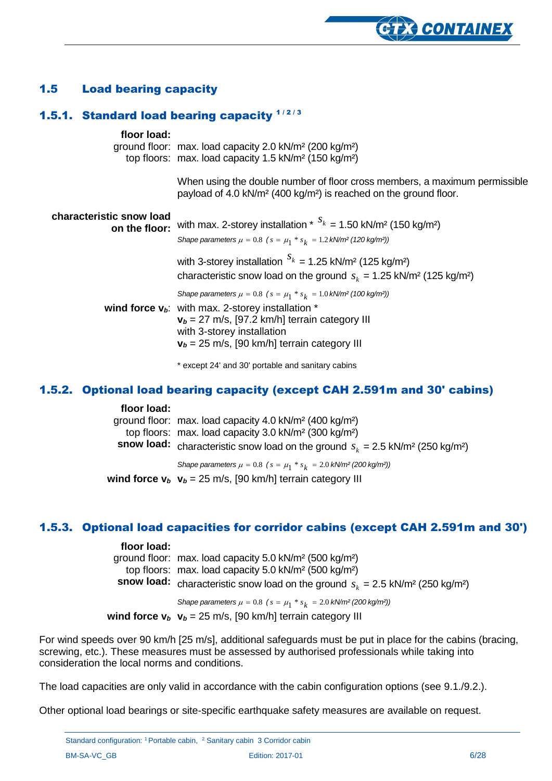#### <span id="page-5-0"></span>1.5 Load bearing capacity

### <span id="page-5-1"></span>1.5.1. Standard load bearing capacity  $1/2/3$

| floor load:                               | ground floor: max. load capacity 2.0 kN/m <sup>2</sup> (200 kg/m <sup>2</sup> )<br>top floors: max. load capacity 1.5 kN/m <sup>2</sup> (150 kg/m <sup>2</sup> )                                                                                                                                 |
|-------------------------------------------|--------------------------------------------------------------------------------------------------------------------------------------------------------------------------------------------------------------------------------------------------------------------------------------------------|
|                                           | When using the double number of floor cross members, a maximum permissible<br>payload of 4.0 kN/m <sup>2</sup> (400 kg/m <sup>2</sup> ) is reached on the ground floor.                                                                                                                          |
| characteristic snow load<br>on the floor: | with max. 2-storey installation * $S_k = 1.50$ kN/m <sup>2</sup> (150 kg/m <sup>2</sup> )<br>Shape parameters $\mu = 0.8$ ( $s = \mu_1 * s_k = 1.2$ kN/m <sup>2</sup> (120 kg/m <sup>2</sup> ))                                                                                                  |
|                                           | with 3-storey installation $S_k = 1.25$ kN/m <sup>2</sup> (125 kg/m <sup>2</sup> )<br>characteristic snow load on the ground $s_k = 1.25 \text{ kN/m}^2 (125 \text{ kg/m}^2)$                                                                                                                    |
|                                           | Shape parameters $\mu = 0.8$ ( $s = \mu_1 * s_k = 1.0$ kN/m <sup>2</sup> (100 kg/m <sup>2</sup> ))<br>wind force $v_b$ : with max. 2-storey installation $*$<br>$v_b = 27$ m/s, [97.2 km/h] terrain category III<br>with 3-storey installation<br>$v_b$ = 25 m/s, [90 km/h] terrain category III |
|                                           | * except 24' and 30' portable and sanitary cabins                                                                                                                                                                                                                                                |

#### <span id="page-5-2"></span>1.5.2. Optional load bearing capacity (except CAH 2.591m and 30' cabins)

#### **floor load:**

| ground floor: max. load capacity 4.0 kN/m <sup>2</sup> (400 kg/m <sup>2</sup> )<br>top floors: max. load capacity 3.0 kN/m <sup>2</sup> (300 kg/m <sup>2</sup> ) |
|------------------------------------------------------------------------------------------------------------------------------------------------------------------|
| <b>snow load:</b> characteristic snow load on the ground $s_k = 2.5$ kN/m <sup>2</sup> (250 kg/m <sup>2</sup> )                                                  |
| Shape parameters $\mu = 0.8$ ( $s = \mu_1 * s_k = 2.0$ kN/m <sup>2</sup> (200 kg/m <sup>2</sup> ))                                                               |
| wind force $v_b$ $v_b$ = 25 m/s, [90 km/h] terrain category III                                                                                                  |

#### <span id="page-5-3"></span>1.5.3. Optional load capacities for corridor cabins (except CAH 2.591m and 30')

#### **floor load:**

| ground floor: max. load capacity 5.0 kN/m <sup>2</sup> (500 kg/m <sup>2</sup> )<br>top floors: max. load capacity 5.0 kN/m <sup>2</sup> (500 kg/m <sup>2</sup> )<br><b>snow load:</b> characteristic snow load on the ground $s_k = 2.5 \text{ kN/m}^2 (250 \text{ kg/m}^2)$ |
|------------------------------------------------------------------------------------------------------------------------------------------------------------------------------------------------------------------------------------------------------------------------------|
| Shape parameters $\mu = 0.8$ ( $s = \mu_1 * s_k = 2.0$ kN/m <sup>2</sup> (200 kg/m <sup>2</sup> ))                                                                                                                                                                           |

**wind force**  $v_b$   $v_b = 25$  m/s, [90 km/h] terrain category III

For wind speeds over 90 km/h [25 m/s], additional safeguards must be put in place for the cabins (bracing, screwing, etc.). These measures must be assessed by authorised professionals while taking into consideration the local norms and conditions.

The load capacities are only valid in accordance with the cabin configuration options (see 9.1./9.2.).

Other optional load bearings or site-specific earthquake safety measures are available on request.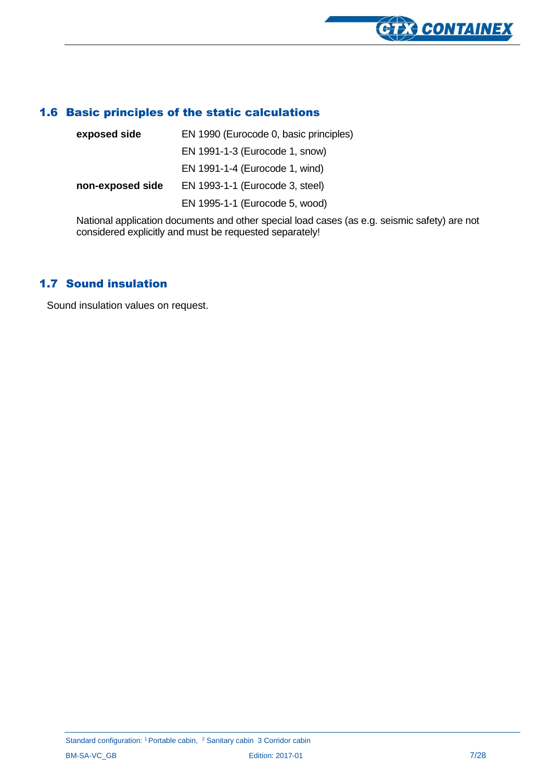

#### <span id="page-6-0"></span>1.6 Basic principles of the static calculations

| exposed side     | EN 1990 (Eurocode 0, basic principles) |  |  |
|------------------|----------------------------------------|--|--|
|                  | EN 1991-1-3 (Eurocode 1, snow)         |  |  |
|                  | EN 1991-1-4 (Eurocode 1, wind)         |  |  |
| non-exposed side | EN 1993-1-1 (Eurocode 3, steel)        |  |  |
|                  | EN 1995-1-1 (Eurocode 5, wood)         |  |  |
|                  |                                        |  |  |

National application documents and other special load cases (as e.g. seismic safety) are not considered explicitly and must be requested separately!

#### <span id="page-6-1"></span>1.7 Sound insulation

Sound insulation values on request.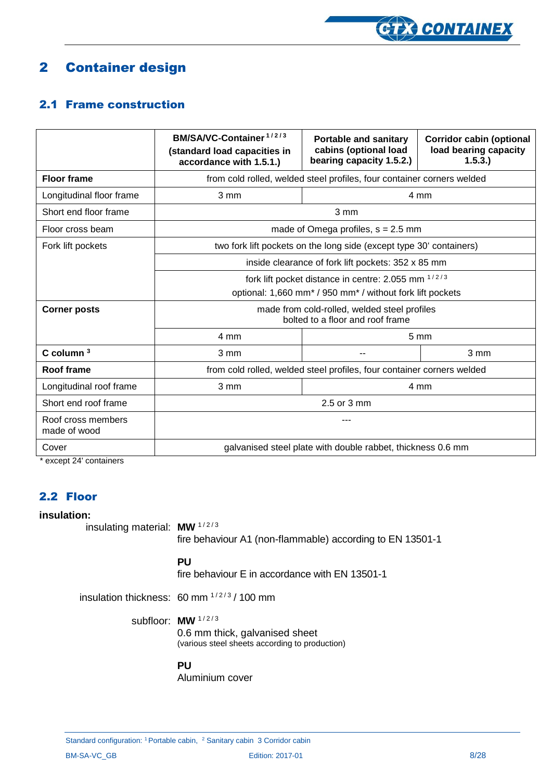

### <span id="page-7-0"></span>2 Container design

#### <span id="page-7-1"></span>2.1 Frame construction

|                                    | BM/SA/VC-Container <sup>1/2/3</sup><br>(standard load capacities in<br>accordance with 1.5.1.) | <b>Portable and sanitary</b><br>cabins (optional load<br>bearing capacity 1.5.2.) | <b>Corridor cabin (optional</b><br>load bearing capacity<br>1.5.3. |  |  |
|------------------------------------|------------------------------------------------------------------------------------------------|-----------------------------------------------------------------------------------|--------------------------------------------------------------------|--|--|
| <b>Floor frame</b>                 | from cold rolled, welded steel profiles, four container corners welded                         |                                                                                   |                                                                    |  |  |
| Longitudinal floor frame           | 3 mm                                                                                           |                                                                                   | 4 mm                                                               |  |  |
| Short end floor frame              |                                                                                                | 3 mm                                                                              |                                                                    |  |  |
| Floor cross beam                   |                                                                                                | made of Omega profiles, $s = 2.5$ mm                                              |                                                                    |  |  |
| Fork lift pockets                  |                                                                                                | two fork lift pockets on the long side (except type 30' containers)               |                                                                    |  |  |
|                                    | inside clearance of fork lift pockets: 352 x 85 mm                                             |                                                                                   |                                                                    |  |  |
|                                    | fork lift pocket distance in centre: 2.055 mm 1/2/3                                            |                                                                                   |                                                                    |  |  |
|                                    | optional: 1,660 mm <sup>*</sup> / 950 mm <sup>*</sup> / without fork lift pockets              |                                                                                   |                                                                    |  |  |
| <b>Corner posts</b>                | made from cold-rolled, welded steel profiles<br>bolted to a floor and roof frame               |                                                                                   |                                                                    |  |  |
|                                    | 4 mm                                                                                           | $5 \text{ mm}$                                                                    |                                                                    |  |  |
| $C$ column $3$                     | 3 mm                                                                                           |                                                                                   | 3 mm                                                               |  |  |
| <b>Roof frame</b>                  | from cold rolled, welded steel profiles, four container corners welded                         |                                                                                   |                                                                    |  |  |
| Longitudinal roof frame            | 3 mm                                                                                           | $4 \text{ mm}$                                                                    |                                                                    |  |  |
| Short end roof frame               | 2.5 or 3 mm                                                                                    |                                                                                   |                                                                    |  |  |
| Roof cross members<br>made of wood |                                                                                                |                                                                                   |                                                                    |  |  |
| Cover                              | galvanised steel plate with double rabbet, thickness 0.6 mm                                    |                                                                                   |                                                                    |  |  |

\* except 24' containers

#### <span id="page-7-2"></span>2.2 Floor

#### **insulation:**

```
insulating material: MW<sup>1/2/3</sup>
```
fire behaviour A1 (non-flammable) according to EN 13501-1

#### **PU**

fire behaviour E in accordance with EN 13501-1

insulation thickness:  $60 \text{ mm}^{1/2/3}$  / 100 mm

subfloor: **MW** 1/2/3

0.6 mm thick, galvanised sheet (various steel sheets according to production)

#### **PU**

Aluminium cover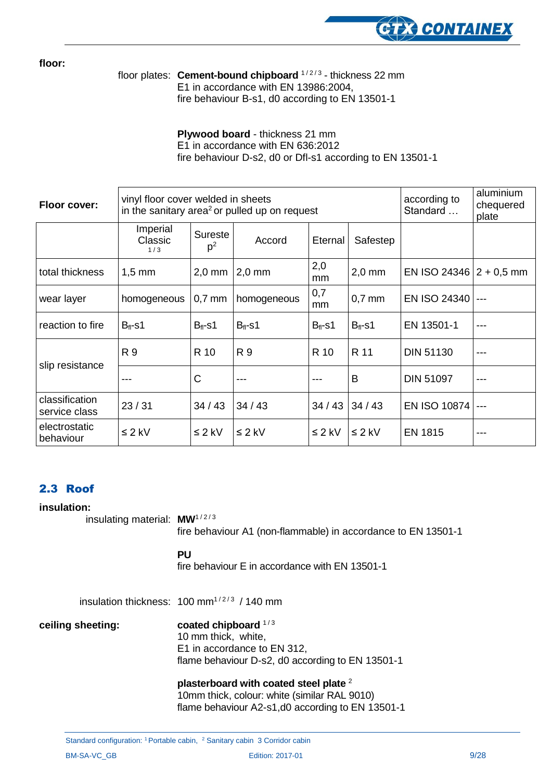

**floor:**

floor plates: Cement-bound chipboard <sup>1/2/3</sup> - thickness 22 mm Е1 in accordance with EN 13986:2004, fire behaviour B-s1, d0 according to EN 13501-1

> **Plywood board** - thickness 21 mm Е1 in accordance with EN 636:2012 fire behaviour D-s2, d0 or Dfl-s1 according to EN 13501-1

| Floor cover:                    | vinyl floor cover welded in sheets<br>in the sanitary area <sup>2</sup> or pulled up on request |                           |              | according to<br>Standard | aluminium<br>chequered<br>plate |                             |       |
|---------------------------------|-------------------------------------------------------------------------------------------------|---------------------------|--------------|--------------------------|---------------------------------|-----------------------------|-------|
|                                 | Imperial<br>Classic<br>1/3                                                                      | Sureste<br>p <sup>2</sup> | Accord       | Eternal                  | Safestep                        |                             |       |
| total thickness                 | $1,5$ mm                                                                                        | $2,0$ mm                  | $2,0$ mm     | 2,0<br>mm                | $2,0$ mm                        | EN ISO 24346   $2 + 0.5$ mm |       |
| wear layer                      | homogeneous                                                                                     | $0.7$ mm                  | homogeneous  | 0,7<br>mm                | $0.7$ mm                        | EN ISO 24340                |       |
| reaction to fire                | $B_{fl}$ -s1                                                                                    | $B_{fl}$ -s1              | $B_{fl}$ -s1 | $B_{fl}$ -s1             | $B_{fl}$ -s1                    | EN 13501-1                  | ---   |
|                                 | R 9                                                                                             | R 10                      | R 9          | R 10                     | R 11                            | <b>DIN 51130</b>            | ---   |
| slip resistance                 | ---                                                                                             | C                         | ---          | ---                      | B                               | <b>DIN 51097</b>            | ---   |
| classification<br>service class | 23/31                                                                                           | 34/43                     | 34/43        | 34/43                    | 34/43                           | <b>EN ISO 10874</b>         | $---$ |
| electrostatic<br>behaviour      | $\leq 2$ kV                                                                                     | $\leq 2$ kV               | $\leq 2$ kV  | $\leq 2$ kV              | $\leq 2$ kV                     | <b>EN 1815</b>              | ---   |

#### <span id="page-8-0"></span>2.3 Roof

#### **insulation:**

insulating material: **MW**<sup>1/2/3</sup>

fire behaviour A1 (non-flammable) in accordance to EN 13501-1

#### **PU**

fire behaviour E in accordance with EN 13501-1

insulation thickness:  $100 \text{ mm}^{1/2/3}$  / 140 mm

#### **ceiling sheeting: coated chipboard**  $1/3$

10 mm thick, white, E1 in accordance to EN 312, flame behaviour D-s2, d0 according to EN 13501-1

**plasterboard with coated steel plate** <sup>2</sup> 10mm thick, colour: white (similar RAL 9010) flame behaviour A2-s1,d0 according to EN 13501-1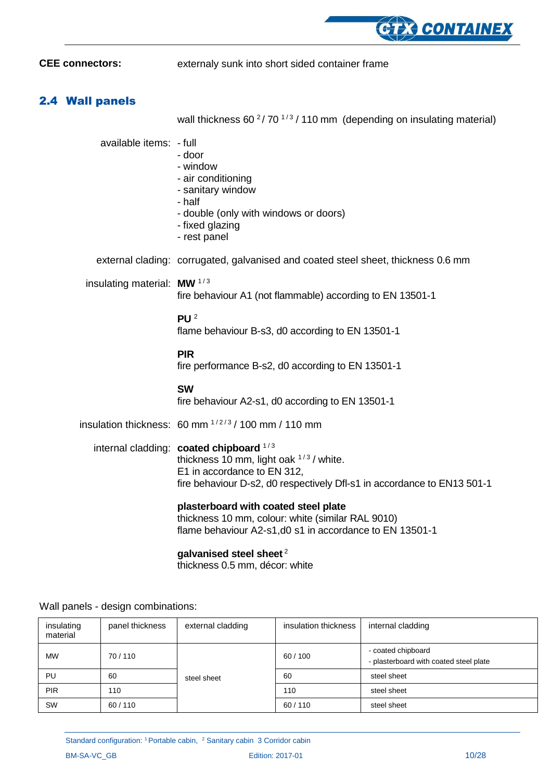

**CEE connectors:** externaly sunk into short sided container frame

#### <span id="page-9-0"></span>2.4 Wall panels

wall thickness 60 $\frac{2}{70}$  1/3 / 110 mm (depending on insulating material)

| available items: - full                | - door<br>- window<br>- air conditioning<br>- sanitary window<br>- half<br>- double (only with windows or doors)<br>- fixed glazing<br>- rest panel                                            |
|----------------------------------------|------------------------------------------------------------------------------------------------------------------------------------------------------------------------------------------------|
|                                        | external clading: corrugated, galvanised and coated steel sheet, thickness 0.6 mm                                                                                                              |
| insulating material: MW <sup>1/3</sup> | fire behaviour A1 (not flammable) according to EN 13501-1                                                                                                                                      |
|                                        | PU $2$<br>flame behaviour B-s3, d0 according to EN 13501-1                                                                                                                                     |
|                                        | <b>PIR</b><br>fire performance B-s2, d0 according to EN 13501-1                                                                                                                                |
|                                        | <b>SW</b><br>fire behaviour A2-s1, d0 according to EN 13501-1                                                                                                                                  |
|                                        | insulation thickness: $60 \text{ mm}^{1/2/3}$ / 100 mm / 110 mm                                                                                                                                |
|                                        | internal cladding: coated chipboard 1/3<br>thickness 10 mm, light oak $1/3$ / white.<br>E1 in accordance to EN 312,<br>fire behaviour D-s2, d0 respectively Dfl-s1 in accordance to EN13 501-1 |
|                                        | plasterboard with coated steel plate<br>thickness 10 mm, colour: white (similar RAL 9010)<br>flame behaviour A2-s1,d0 s1 in accordance to EN 13501-1                                           |
|                                        |                                                                                                                                                                                                |

#### **galvanised steel sheet** <sup>2</sup>

thickness 0.5 mm, décor: white

| insulating<br>material | panel thickness | external cladding | insulation thickness | internal cladding                                            |
|------------------------|-----------------|-------------------|----------------------|--------------------------------------------------------------|
| <b>MW</b>              | 70/110          |                   | 60/100               | - coated chipboard<br>- plasterboard with coated steel plate |
| PU                     | 60              | steel sheet       | 60                   | steel sheet                                                  |
| <b>PIR</b>             | 110             |                   | 110                  | steel sheet                                                  |
| <b>SW</b>              | 60/110          |                   | 60/110               | steel sheet                                                  |

Wall panels - design combinations: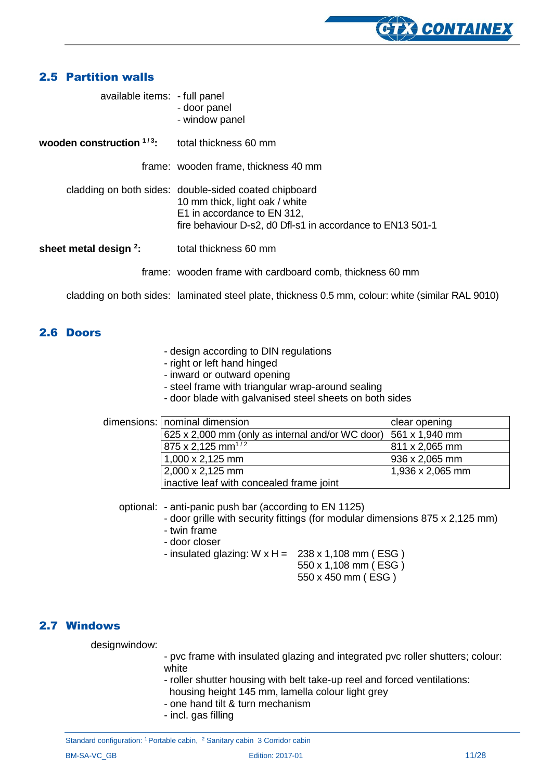

#### <span id="page-10-0"></span>2.5 Partition walls

| available items: - full panel | - door panel<br>- window panel                                                                                                                                                       |
|-------------------------------|--------------------------------------------------------------------------------------------------------------------------------------------------------------------------------------|
| wooden construction $1/3$ .   | total thickness 60 mm                                                                                                                                                                |
|                               | frame: wooden frame, thickness 40 mm                                                                                                                                                 |
|                               | cladding on both sides: double-sided coated chipboard<br>10 mm thick, light oak / white<br>E1 in accordance to EN 312,<br>fire behaviour D-s2, d0 Dfl-s1 in accordance to EN13 501-1 |
| sheet metal design $2$ :      | total thickness 60 mm                                                                                                                                                                |
|                               | frame: wooden frame with cardboard comb, thickness 60 mm                                                                                                                             |

cladding on both sides: laminated steel plate, thickness 0.5 mm, colour: white (similar RAL 9010)

#### <span id="page-10-1"></span>2.6 Doors

- design according to DIN regulations
- right or left hand hinged
- inward or outward opening
- steel frame with triangular wrap-around sealing
- door blade with galvanised steel sheets on both sides

| dimensions:   nominal dimension                                 | clear opening    |
|-----------------------------------------------------------------|------------------|
| 625 x 2,000 mm (only as internal and/or WC door) 561 x 1,940 mm |                  |
| 875 x 2,125 mm <sup>1/2</sup>                                   | 811 x 2,065 mm   |
| 1,000 x 2,125 mm                                                | 936 x 2,065 mm   |
| 2,000 x 2,125 mm                                                | 1,936 x 2,065 mm |
| inactive leaf with concealed frame joint                        |                  |

optional: - anti-panic push bar (according to EN 1125)

- door grille with security fittings (for modular dimensions 875 x 2,125 mm)
- twin frame
- door closer

- insulated glazing:  $W \times H = 238 \times 1,108 \text{ mm}$  (ESG)

550 x 1,108 mm ( ESG )

550 x 450 mm ( ESG )

#### <span id="page-10-2"></span>2.7 Windows

designwindow:

- pvc frame with insulated glazing and integrated pvc roller shutters; colour: white
- roller shutter housing with belt take-up reel and forced ventilations:
	- housing height 145 mm, lamella colour light grey
- one hand tilt & turn mechanism
- incl. gas filling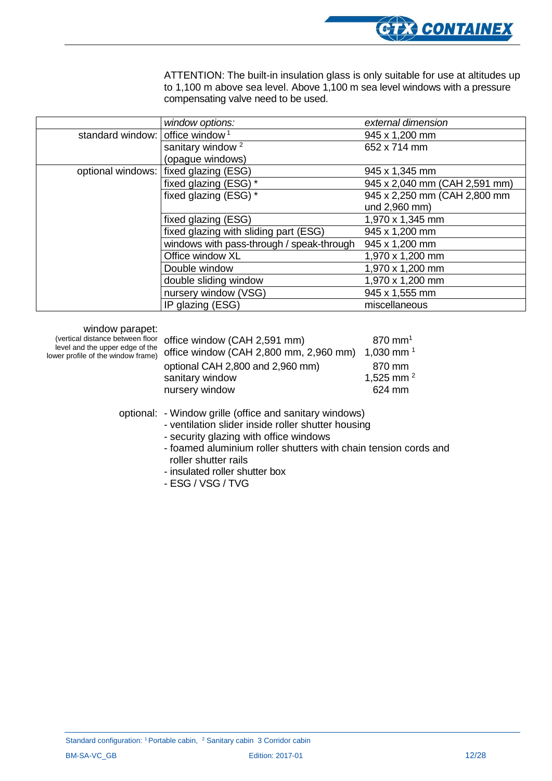

ATTENTION: The built-in insulation glass is only suitable for use at altitudes up to 1,100 m above sea level. Above 1,100 m sea level windows with a pressure compensating valve need to be used.

|                                             | window options:                           | external dimension            |
|---------------------------------------------|-------------------------------------------|-------------------------------|
| standard window: office window <sup>1</sup> |                                           | 945 x 1,200 mm                |
|                                             | sanitary window <sup>2</sup>              | 652 x 714 mm                  |
|                                             | (opague windows)                          |                               |
|                                             | optional windows: fixed glazing (ESG)     | 945 x 1,345 mm                |
|                                             | fixed glazing (ESG) *                     | 945 x 2,040 mm (CAH 2,591 mm) |
|                                             | fixed glazing (ESG) *                     | 945 x 2,250 mm (CAH 2,800 mm  |
|                                             |                                           | und 2,960 mm)                 |
|                                             | fixed glazing (ESG)                       | 1,970 x 1,345 mm              |
|                                             | fixed glazing with sliding part (ESG)     | 945 x 1,200 mm                |
|                                             | windows with pass-through / speak-through | 945 x 1,200 mm                |
|                                             | Office window XL                          | 1,970 x 1,200 mm              |
|                                             | Double window                             | 1,970 x 1,200 mm              |
|                                             | double sliding window                     | 1,970 x 1,200 mm              |
|                                             | nursery window (VSG)                      | 945 x 1,555 mm                |
|                                             | IP glazing (ESG)                          | miscellaneous                 |

window parapet:

(vertical distance between floor level and the upper edge of the lower profile of the window frame) O

| office window (CAH 2,591 mm)<br>office window (CAH 2,800 mm, 2,960 mm) 1,030 mm <sup>1</sup> | $870 \text{ mm}^1$    |
|----------------------------------------------------------------------------------------------|-----------------------|
| optional CAH 2,800 and 2,960 mm)                                                             | 870 mm                |
| sanitary window                                                                              | 1,525 mm <sup>2</sup> |
| nursery window                                                                               | 624 mm                |

optional: - Window grille (office and sanitary windows)

- ventilation slider inside roller shutter housing
- security glazing with office windows
- foamed aluminium roller shutters with chain tension cords and roller shutter rails
- insulated roller shutter box
- ESG / VSG / TVG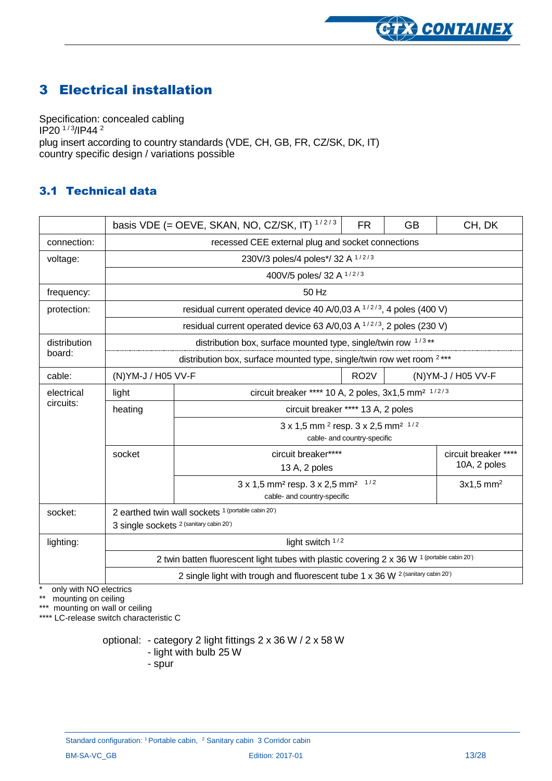

### <span id="page-12-0"></span>3 Electrical installation

Specification: concealed cabling IP20 <sup>1/3</sup>/IP44 <sup>2</sup> plug insert according to country standards (VDE, CH, GB, FR, CZ/SK, DK, IT) country specific design / variations possible

#### <span id="page-12-1"></span>3.1 Technical data

|              |                                                                                             | basis VDE (= OEVE, SKAN, NO, CZ/SK, IT) $1/2/3$                                                          | <b>FR</b>                          | <b>GB</b> | CH, DK                               |
|--------------|---------------------------------------------------------------------------------------------|----------------------------------------------------------------------------------------------------------|------------------------------------|-----------|--------------------------------------|
| connection:  | recessed CEE external plug and socket connections                                           |                                                                                                          |                                    |           |                                      |
| voltage:     | 230V/3 poles/4 poles*/ 32 A 1/2/3                                                           |                                                                                                          |                                    |           |                                      |
|              |                                                                                             | 400V/5 poles/ 32 A 1/2/3                                                                                 |                                    |           |                                      |
| frequency:   |                                                                                             | 50 Hz                                                                                                    |                                    |           |                                      |
| protection:  | residual current operated device 40 A/0,03 A $1/2/3$ , 4 poles (400 V)                      |                                                                                                          |                                    |           |                                      |
|              |                                                                                             | residual current operated device 63 A/0,03 A <sup>1/2/3</sup> , 2 poles (230 V)                          |                                    |           |                                      |
| distribution | distribution box, surface mounted type, single/twin row 1/3**                               |                                                                                                          |                                    |           |                                      |
| board:       | distribution box, surface mounted type, single/twin row wet room <sup>2***</sup>            |                                                                                                          |                                    |           |                                      |
| cable:       | RO <sub>2</sub> V<br>(N) YM-J / H05 VV-F<br>(N) YM-J / H05 VV-F                             |                                                                                                          |                                    |           |                                      |
| electrical   | light                                                                                       | circuit breaker **** 10 A, 2 poles, 3x1,5 mm <sup>2 1/2/3</sup>                                          |                                    |           |                                      |
| circuits:    | heating                                                                                     |                                                                                                          | circuit breaker **** 13 A, 2 poles |           |                                      |
|              | 3 x 1,5 mm <sup>2</sup> resp. 3 x 2,5 mm <sup>2 1/2</sup><br>cable- and country-specific    |                                                                                                          |                                    |           |                                      |
|              | socket                                                                                      | circuit breaker****<br>13 A, 2 poles                                                                     |                                    |           | circuit breaker ****<br>10A, 2 poles |
|              |                                                                                             | $3 \times 1,5$ mm <sup>2</sup> resp. $3 \times 2,5$ mm <sup>2</sup> 1/2<br>cable- and country-specific   |                                    |           | $3x1,5$ mm <sup>2</sup>              |
| socket:      |                                                                                             | 2 earthed twin wall sockets 1 (portable cabin 20')<br>3 single sockets <sup>2 (sanitary cabin 20')</sup> |                                    |           |                                      |
| lighting:    |                                                                                             | light switch 1/2                                                                                         |                                    |           |                                      |
|              | 2 twin batten fluorescent light tubes with plastic covering 2 x 36 W 1 (portable cabin 20') |                                                                                                          |                                    |           |                                      |
|              | 2 single light with trough and fluorescent tube 1 x 36 W 2 (sanitary cabin 20')             |                                                                                                          |                                    |           |                                      |

\* only with NO electrics

\*\* mounting on ceiling

\*\*\* mounting on wall or ceiling

\*\*\*\* LC-release switch characteristic C

optional: - category 2 light fittings 2 x 36 W / 2 x 58 W

- light with bulb 25 W
- spur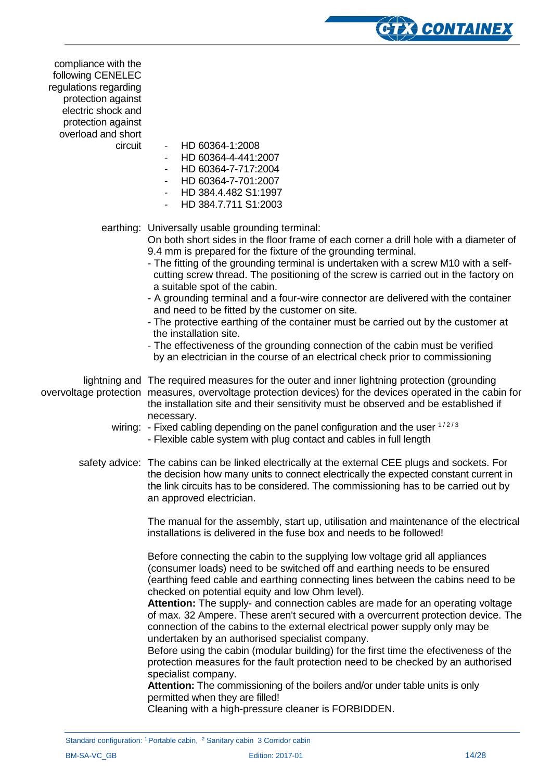compliance with the following CENELEC regulations regarding protection against electric shock and protection against overload and short

- circuit HD 60364-1:2008
	- HD 60364-4-441:2007
	- HD 60364-7-717:2004
	- HD 60364-7-701:2007
	- HD 384.4.482 S1:1997
	- HD 384.7.711 S1:2003

#### earthing: Universally usable grounding terminal:

On both short sides in the floor frame of each corner a drill hole with a diameter of 9.4 mm is prepared for the fixture of the grounding terminal.

**CTX CONTAINEX** 

- The fitting of the grounding terminal is undertaken with a screw M10 with a self cutting screw thread. The positioning of the screw is carried out in the factory on a suitable spot of the cabin.
- A grounding terminal and a four-wire connector are delivered with the container and need to be fitted by the customer on site.
- The protective earthing of the container must be carried out by the customer at the installation site.
- The effectiveness of the grounding connection of the cabin must be verified by an electrician in the course of an electrical check prior to commissioning

lightning and The required measures for the outer and inner lightning protection (grounding overvoltage protection measures, overvoltage protection devices) for the devices operated in the cabin for the installation site and their sensitivity must be observed and be established if necessary.

- wiring: Fixed cabling depending on the panel configuration and the user  $1/2/3$ - Flexible cable system with plug contact and cables in full length
- safety advice: The cabins can be linked electrically at the external CEE plugs and sockets. For the decision how many units to connect electrically the expected constant current in the link circuits has to be considered. The commissioning has to be carried out by an approved electrician.

The manual for the assembly, start up, utilisation and maintenance of the electrical installations is delivered in the fuse box and needs to be followed!

Before connecting the cabin to the supplying low voltage grid all appliances (consumer loads) need to be switched off and earthing needs to be ensured (earthing feed cable and earthing connecting lines between the cabins need to be checked on potential equity and low Ohm level).

**Attention:** The supply- and connection cables are made for an operating voltage of max. 32 Ampere. These aren't secured with a overcurrent protection device. The connection of the cabins to the external electrical power supply only may be undertaken by an authorised specialist company.

Before using the cabin (modular building) for the first time the efectiveness of the protection measures for the fault protection need to be checked by an authorised specialist company.

**Attention:** The commissioning of the boilers and/or under table units is only permitted when they are filled!

Cleaning with a high-pressure cleaner is FORBIDDEN.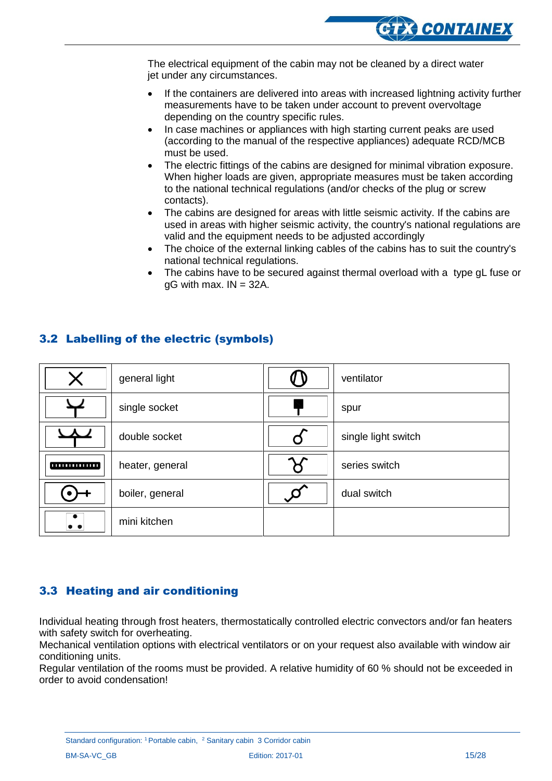The electrical equipment of the cabin may not be cleaned by a direct water jet under any circumstances.

- If the containers are delivered into areas with increased lightning activity further measurements have to be taken under account to prevent overvoltage depending on the country specific rules.
- In case machines or appliances with high starting current peaks are used (according to the manual of the respective appliances) adequate RCD/MCB must be used.
- The electric fittings of the cabins are designed for minimal vibration exposure. When higher loads are given, appropriate measures must be taken according to the national technical regulations (and/or checks of the plug or screw contacts).
- The cabins are designed for areas with little seismic activity. If the cabins are used in areas with higher seismic activity, the country's national regulations are valid and the equipment needs to be adjusted accordingly
- The choice of the external linking cables of the cabins has to suit the country's national technical regulations.
- The cabins have to be secured against thermal overload with a type gL fuse or gG with max. IN = 32A.

#### <span id="page-14-0"></span>3.2 Labelling of the electric (symbols)

| X                        | general light   | ventilator          |
|--------------------------|-----------------|---------------------|
|                          | single socket   | spur                |
| $\overline{\phantom{a}}$ | double socket   | single light switch |
| ,,,,,,,,,,,,,,,          | heater, general | series switch       |
|                          | boiler, general | dual switch         |
| $\bullet$ $\bullet$      | mini kitchen    |                     |

#### <span id="page-14-1"></span>3.3 Heating and air conditioning

Individual heating through frost heaters, thermostatically controlled electric convectors and/or fan heaters with safety switch for overheating.

Mechanical ventilation options with electrical ventilators or on your request also available with window air conditioning units.

Regular ventilation of the rooms must be provided. A relative humidity of 60 % should not be exceeded in order to avoid condensation!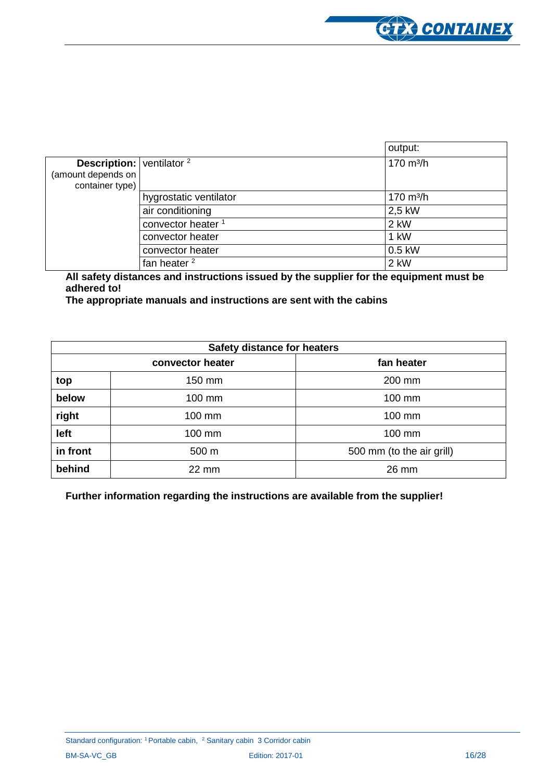

|                                           |                               | output:             |
|-------------------------------------------|-------------------------------|---------------------|
| <b>Description:</b> $vert$ ventilator $2$ |                               | $170 \text{ m}^3/h$ |
| (amount depends on                        |                               |                     |
| container type)                           |                               |                     |
|                                           | hygrostatic ventilator        | $170 \text{ m}^3/h$ |
|                                           | air conditioning              | 2,5 kW              |
|                                           | convector heater <sup>1</sup> | 2 kW                |
|                                           | convector heater              | 1 kW                |
|                                           | convector heater              | 0.5 kW              |
|                                           | fan heater <sup>2</sup>       | 2 kW                |

**All safety distances and instructions issued by the supplier for the equipment must be adhered to!**

**The appropriate manuals and instructions are sent with the cabins**

|          | <b>Safety distance for heaters</b> |                           |
|----------|------------------------------------|---------------------------|
|          | convector heater                   | fan heater                |
| top      | 150 mm                             | 200 mm                    |
| below    | $100 \text{ mm}$                   | 100 mm                    |
| right    | 100 mm                             | 100 mm                    |
| left     | 100 mm                             | 100 mm                    |
| in front | 500 m                              | 500 mm (to the air grill) |
| behind   | $22 \text{ mm}$                    | 26 mm                     |

**Further information regarding the instructions are available from the supplier!**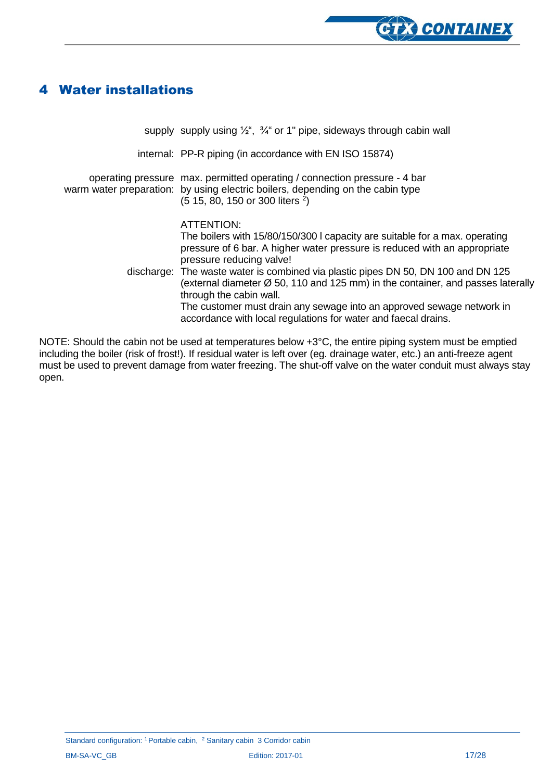

### <span id="page-16-0"></span>4 Water installations

| supply supply using $\frac{1}{2}$ , $\frac{3}{4}$ or 1" pipe, sideways through cabin wall                                                                                                                                                                                                                                                                                                                                                                                                                                                                    |
|--------------------------------------------------------------------------------------------------------------------------------------------------------------------------------------------------------------------------------------------------------------------------------------------------------------------------------------------------------------------------------------------------------------------------------------------------------------------------------------------------------------------------------------------------------------|
| internal: PP-R piping (in accordance with EN ISO 15874)                                                                                                                                                                                                                                                                                                                                                                                                                                                                                                      |
| operating pressure max. permitted operating / connection pressure - 4 bar<br>warm water preparation: by using electric boilers, depending on the cabin type<br>(5 15, 80, 150 or 300 liters <sup>2</sup> )                                                                                                                                                                                                                                                                                                                                                   |
| ATTENTION:<br>The boilers with 15/80/150/300 I capacity are suitable for a max. operating<br>pressure of 6 bar. A higher water pressure is reduced with an appropriate<br>pressure reducing valve!<br>discharge: The waste water is combined via plastic pipes DN 50, DN 100 and DN 125<br>(external diameter $\varnothing$ 50, 110 and 125 mm) in the container, and passes laterally<br>through the cabin wall.<br>The customer must drain any sewage into an approved sewage network in<br>accordance with local regulations for water and faecal drains. |

NOTE: Should the cabin not be used at temperatures below +3°C, the entire piping system must be emptied including the boiler (risk of frost!). If residual water is left over (eg. drainage water, etc.) an anti-freeze agent must be used to prevent damage from water freezing. The shut-off valve on the water conduit must always stay open.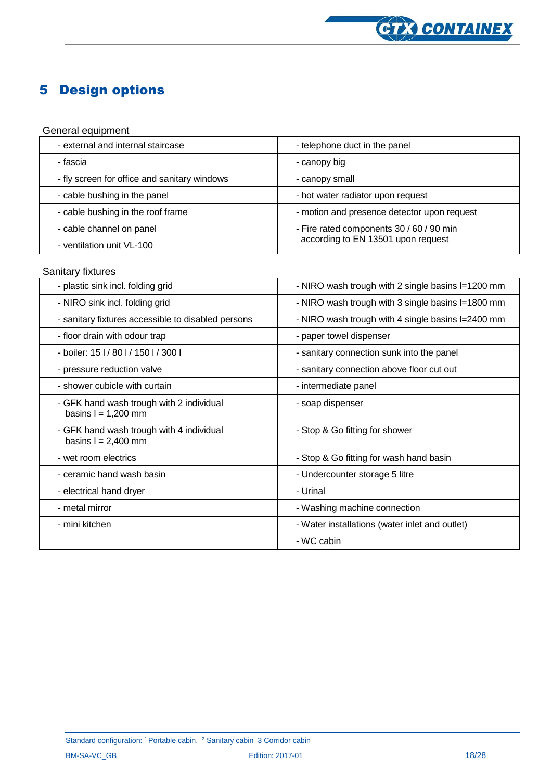

### <span id="page-17-0"></span>5 Design options

#### General equipment

| - external and internal staircase            | - telephone duct in the panel                                                  |
|----------------------------------------------|--------------------------------------------------------------------------------|
| - fascia                                     | - canopy big                                                                   |
| - fly screen for office and sanitary windows | - canopy small                                                                 |
| - cable bushing in the panel                 | - hot water radiator upon request                                              |
| - cable bushing in the roof frame            | - motion and presence detector upon request                                    |
| - cable channel on panel                     | - Fire rated components 30 / 60 / 90 min<br>according to EN 13501 upon request |
| - ventilation unit VL-100                    |                                                                                |

#### **Sanitary fixtures**

| - plastic sink incl. folding grid                                 | - NIRO wash trough with 2 single basins I=1200 mm |
|-------------------------------------------------------------------|---------------------------------------------------|
| - NIRO sink incl. folding grid                                    | - NIRO wash trough with 3 single basins I=1800 mm |
| - sanitary fixtures accessible to disabled persons                | - NIRO wash trough with 4 single basins I=2400 mm |
| - floor drain with odour trap                                     | - paper towel dispenser                           |
| - boiler: 15 l / 80 l / 150 l / 300 l                             | - sanitary connection sunk into the panel         |
| - pressure reduction valve                                        | - sanitary connection above floor cut out         |
| - shower cubicle with curtain                                     | - intermediate panel                              |
| - GFK hand wash trough with 2 individual<br>basins $l = 1,200$ mm | - soap dispenser                                  |
| - GFK hand wash trough with 4 individual<br>basins $l = 2,400$ mm | - Stop & Go fitting for shower                    |
| - wet room electrics                                              | - Stop & Go fitting for wash hand basin           |
| - ceramic hand wash basin                                         | - Undercounter storage 5 litre                    |
| - electrical hand dryer                                           | - Urinal                                          |
| - metal mirror                                                    | - Washing machine connection                      |
| - mini kitchen                                                    | - Water installations (water inlet and outlet)    |
|                                                                   | - WC cabin                                        |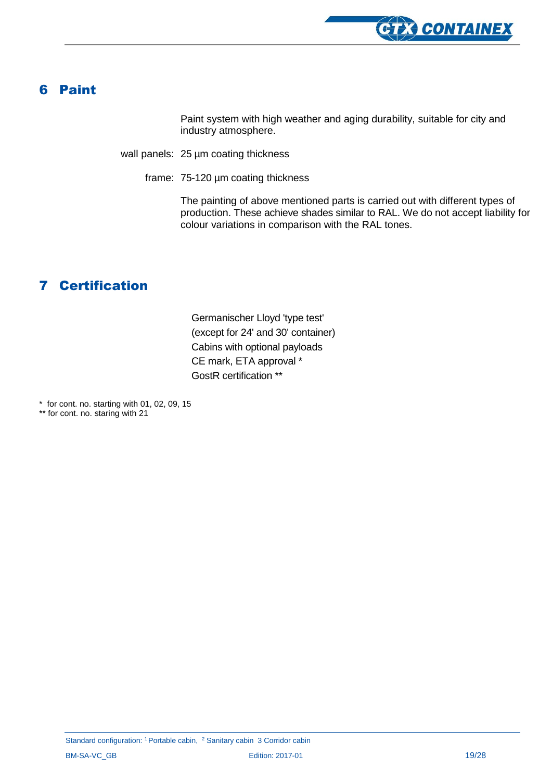

### <span id="page-18-0"></span>6 Paint

Paint system with high weather and aging durability, suitable for city and industry atmosphere.

wall panels: 25 µm coating thickness

frame: 75-120 µm coating thickness

The painting of above mentioned parts is carried out with different types of production. These achieve shades similar to RAL. We do not accept liability for colour variations in comparison with the RAL tones.

### <span id="page-18-1"></span>7 Certification

Germanischer Lloyd 'type test' (except for 24' and 30' container) Cabins with optional payloads CE mark, ETA approval \* GostR certification \*\*

 $*$  for cont. no. starting with 01, 02, 09, 15

\*\* for cont. no. staring with 21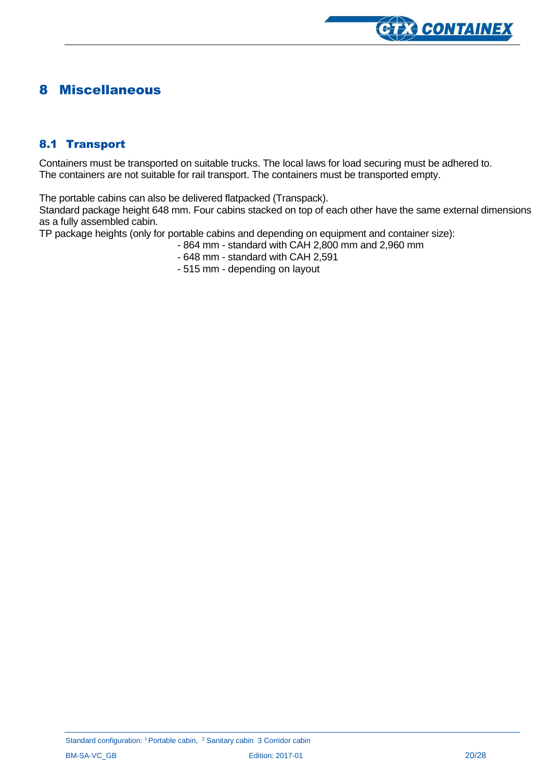

### <span id="page-19-0"></span>8 Miscellaneous

#### <span id="page-19-1"></span>8.1 Transport

Containers must be transported on suitable trucks. The local laws for load securing must be adhered to. The containers are not suitable for rail transport. The containers must be transported empty.

The portable cabins can also be delivered flatpacked (Transpack).

Standard package height 648 mm. Four cabins stacked on top of each other have the same external dimensions as a fully assembled cabin.

TP package heights (only for portable cabins and depending on equipment and container size):

- 864 mm standard with CAH 2,800 mm and 2,960 mm
- 648 mm standard with CAH 2,591
- 515 mm depending on layout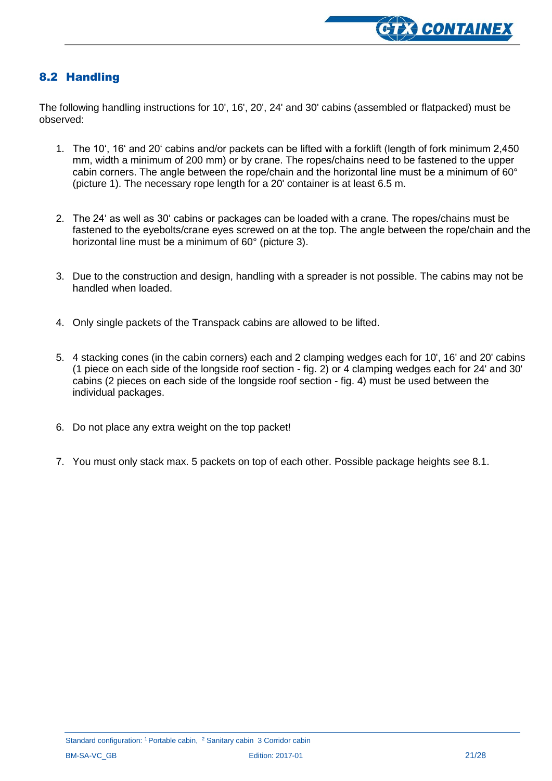

#### <span id="page-20-0"></span>8.2 Handling

The following handling instructions for 10', 16', 20', 24' and 30' cabins (assembled or flatpacked) must be observed:

- 1. The 10', 16' and 20' cabins and/or packets can be lifted with a forklift (length of fork minimum 2,450 mm, width a minimum of 200 mm) or by crane. The ropes/chains need to be fastened to the upper cabin corners. The angle between the rope/chain and the horizontal line must be a minimum of 60° (picture 1). The necessary rope length for a 20' container is at least 6.5 m.
- 2. The 24' as well as 30' cabins or packages can be loaded with a crane. The ropes/chains must be fastened to the eyebolts/crane eyes screwed on at the top. The angle between the rope/chain and the horizontal line must be a minimum of 60° (picture 3).
- 3. Due to the construction and design, handling with a spreader is not possible. The cabins may not be handled when loaded.
- 4. Only single packets of the Transpack cabins are allowed to be lifted.
- 5. 4 stacking cones (in the cabin corners) each and 2 clamping wedges each for 10', 16' and 20' cabins (1 piece on each side of the longside roof section - fig. 2) or 4 clamping wedges each for 24' and 30' cabins (2 pieces on each side of the longside roof section - fig. 4) must be used between the individual packages.
- 6. Do not place any extra weight on the top packet!
- 7. You must only stack max. 5 packets on top of each other. Possible package heights see 8.1.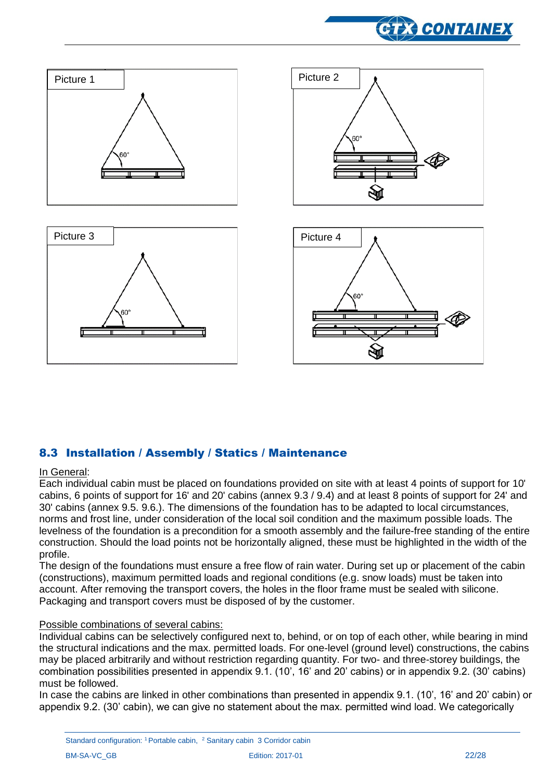



#### <span id="page-21-0"></span>8.3 Installation / Assembly / Statics / Maintenance

#### In General:

Each individual cabin must be placed on foundations provided on site with at least 4 points of support for 10' cabins, 6 points of support for 16' and 20' cabins (annex 9.3 / 9.4) and at least 8 points of support for 24' and 30' cabins (annex 9.5. 9.6.). The dimensions of the foundation has to be adapted to local circumstances, norms and frost line, under consideration of the local soil condition and the maximum possible loads. The levelness of the foundation is a precondition for a smooth assembly and the failure-free standing of the entire construction. Should the load points not be horizontally aligned, these must be highlighted in the width of the profile.

The design of the foundations must ensure a free flow of rain water. During set up or placement of the cabin (constructions), maximum permitted loads and regional conditions (e.g. snow loads) must be taken into account. After removing the transport covers, the holes in the floor frame must be sealed with silicone. Packaging and transport covers must be disposed of by the customer.

#### Possible combinations of several cabins:

Individual cabins can be selectively configured next to, behind, or on top of each other, while bearing in mind the structural indications and the max. permitted loads. For one-level (ground level) constructions, the cabins may be placed arbitrarily and without restriction regarding quantity. For two- and three-storey buildings, the combination possibilities presented in appendix 9.1. (10', 16' and 20' cabins) or in appendix 9.2. (30' cabins) must be followed.

In case the cabins are linked in other combinations than presented in appendix 9.1. (10', 16' and 20' cabin) or appendix 9.2. (30' cabin), we can give no statement about the max. permitted wind load. We categorically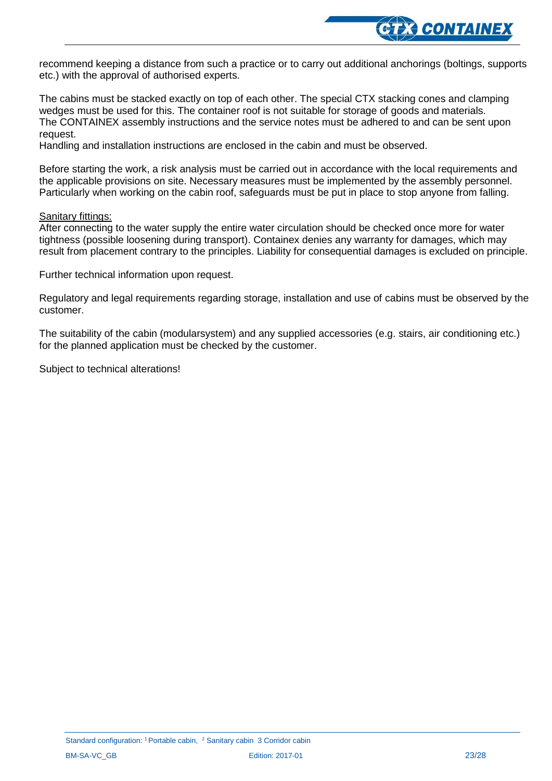

recommend keeping a distance from such a practice or to carry out additional anchorings (boltings, supports etc.) with the approval of authorised experts.

The cabins must be stacked exactly on top of each other. The special CTX stacking cones and clamping wedges must be used for this. The container roof is not suitable for storage of goods and materials. The CONTAINEX assembly instructions and the service notes must be adhered to and can be sent upon request.

Handling and installation instructions are enclosed in the cabin and must be observed.

Before starting the work, a risk analysis must be carried out in accordance with the local requirements and the applicable provisions on site. Necessary measures must be implemented by the assembly personnel. Particularly when working on the cabin roof, safeguards must be put in place to stop anyone from falling.

#### Sanitary fittings:

After connecting to the water supply the entire water circulation should be checked once more for water tightness (possible loosening during transport). Containex denies any warranty for damages, which may result from placement contrary to the principles. Liability for consequential damages is excluded on principle.

Further technical information upon request.

Regulatory and legal requirements regarding storage, installation and use of cabins must be observed by the customer.

The suitability of the cabin (modularsystem) and any supplied accessories (e.g. stairs, air conditioning etc.) for the planned application must be checked by the customer.

Subject to technical alterations!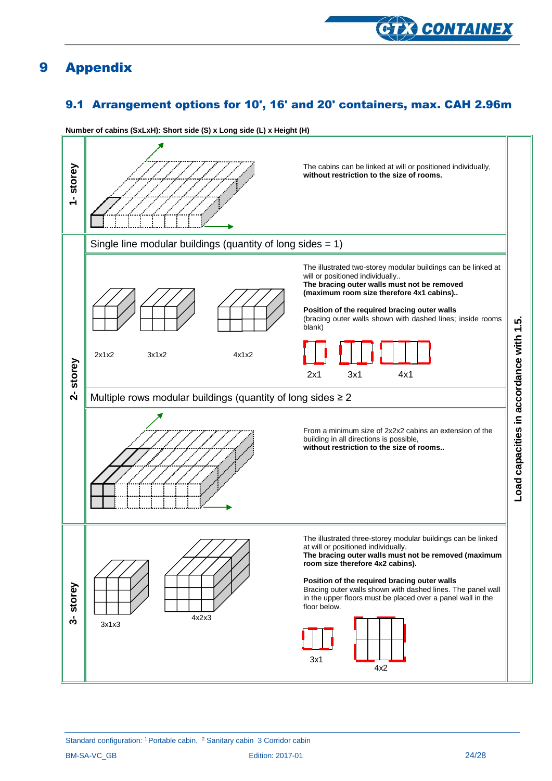

### <span id="page-23-0"></span>9 Appendix

### <span id="page-23-1"></span>9.1 Arrangement options for 10', 16' and 20' containers, max. CAH 2.96m



**Number of cabins (SxLxH): Short side (S) x Long side (L) x Height (H)**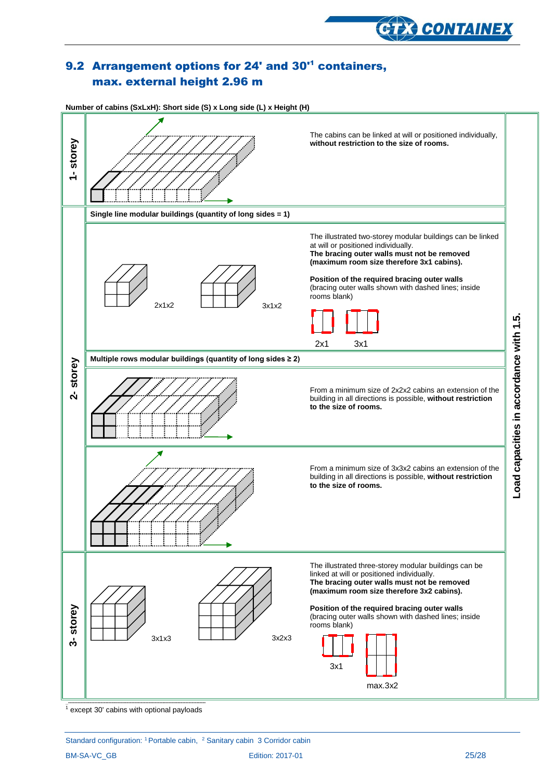

### <span id="page-24-0"></span>9.2 Arrangement options for 24' and 30'<sup>1</sup> containers, max. external height 2.96 m



 $\frac{1}{1}$  except 30' cabins with optional payloads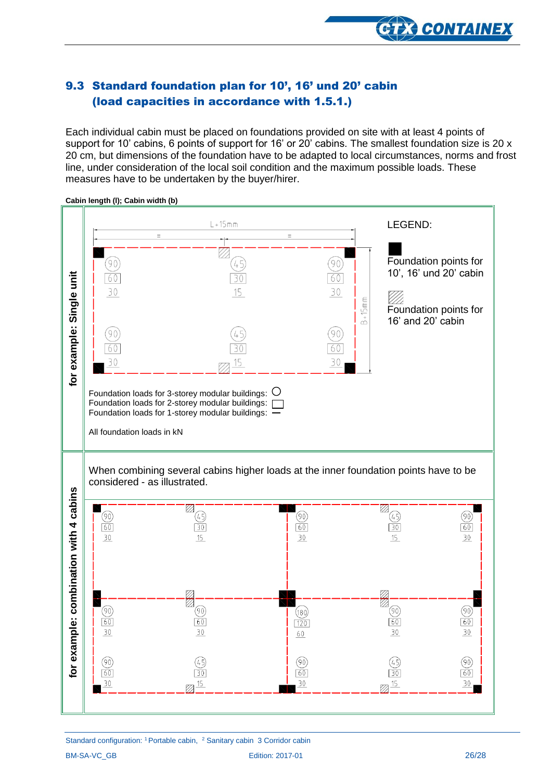

### <span id="page-25-0"></span>9.3 Standard foundation plan for 10', 16' und 20' cabin (load capacities in accordance with 1.5.1.)

Each individual cabin must be placed on foundations provided on site with at least 4 points of support for 10' cabins, 6 points of support for 16' or 20' cabins. The smallest foundation size is 20 x 20 cm, but dimensions of the foundation have to be adapted to local circumstances, norms and frost line, under consideration of the local soil condition and the maximum possible loads. These measures have to be undertaken by the buyer/hirer.



**Cabin length (l); Cabin width (b)**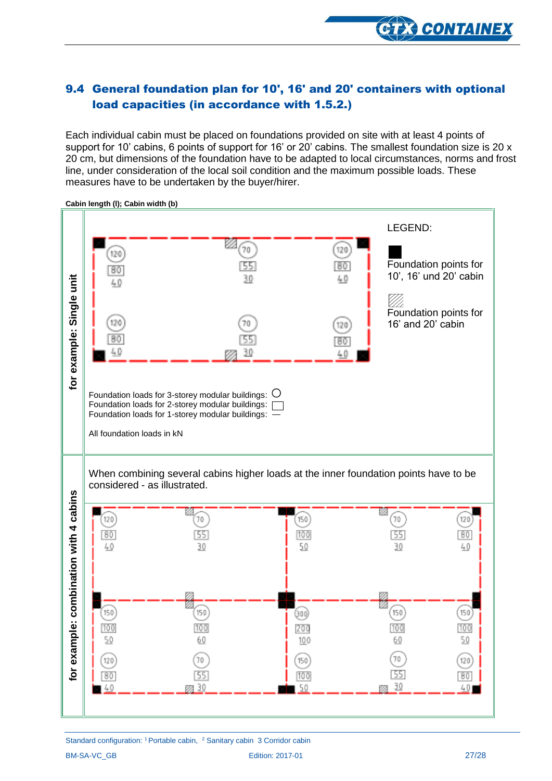

#### <span id="page-26-0"></span>9.4 General foundation plan for 10', 16' and 20' containers with optional load capacities (in accordance with 1.5.2.)

Each individual cabin must be placed on foundations provided on site with at least 4 points of support for 10' cabins, 6 points of support for 16' or 20' cabins. The smallest foundation size is 20 x 20 cm, but dimensions of the foundation have to be adapted to local circumstances, norms and frost line, under consideration of the local soil condition and the maximum possible loads. These measures have to be undertaken by the buyer/hirer.



**Cabin length (l); Cabin width (b)**